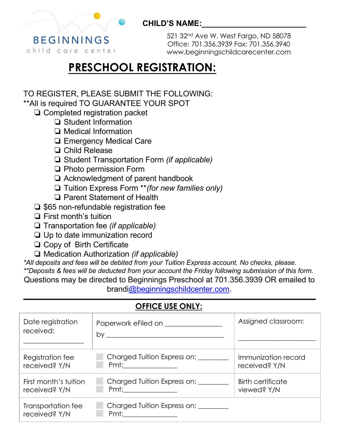

**CHILD'S NAME:\_\_\_\_\_\_\_\_\_\_\_\_\_\_\_\_\_\_\_\_\_\_\_\_**

521 32nd Ave W. West Fargo, ND 58078 Office: 701.356.3939 Fax: 701.356.3940 www.beginningschildcarecenter.com

## **PRESCHOOL REGISTRATION:**

#### TO REGISTER, PLEASE SUBMIT THE FOLLOWING:

\*\*All is required TO GUARANTEE YOUR SPOT

- ❏ Completed registration packet
	- ❏ Student Information
	- ❏ Medical Information
	- ❏ Emergency Medical Care
	- ❏ Child Release
	- ❏ Student Transportation Form *(if applicable)*
	- ❏ Photo permission Form
	- ❏ Acknowledgment of parent handbook
	- ❏ Tuition Express Form \*\**(for new families only)*
	- ❏ Parent Statement of Health
- ❏ \$65 non-refundable registration fee
- ❏ First month's tuition
- ❏ Transportation fee *(if applicable)*
- ❏ Up to date immunization record
- ❏ Copy of Birth Certificate
- ❏ Medication Authorization *(if applicable)*

*\*All deposits and fees will be debited from your Tuition Express account. No checks, please. \*\*Deposits & fees will be deducted from your account the Friday following submission of this form.* Questions may be directed to Beginnings Preschool at 701.356.3939 OR emailed to brandi@beginningschildcenter.com.

#### **OFFICE USE ONLY:**

| Date registration<br>received:      | Paperwork eFiled on         | Assigned classroom: |
|-------------------------------------|-----------------------------|---------------------|
| Registration fee                    | Charged Tuition Express on: | Immunization record |
| received? Y/N                       | Pmt:________________        | received? Y/N       |
| First month's tuition               | Charged Tuition Express on: | Birth certificate   |
| received? Y/N                       |                             | viewed? Y/N         |
| Transportation fee<br>received? Y/N | Charged Tuition Express on: |                     |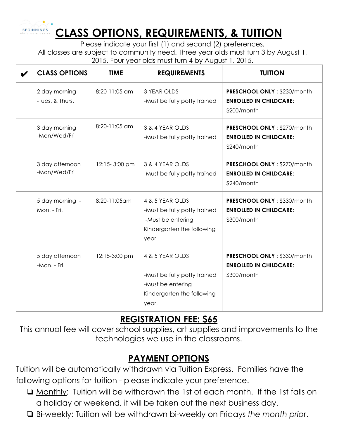

# **CLASS OPTIONS, REQUIREMENTS, & TUITION**

Please indicate your first (1) and second (2) preferences. All classes are subject to community need. Three year olds must turn 3 by August 1, 2015. Four year olds must turn 4 by August 1, 2015.

| V | <b>CLASS OPTIONS</b>             | <b>TIME</b>   | <b>REQUIREMENTS</b>                                                                                         | <b>TUITION</b>                                                              |
|---|----------------------------------|---------------|-------------------------------------------------------------------------------------------------------------|-----------------------------------------------------------------------------|
|   | 2 day morning<br>-Tues. & Thurs. | 8:20-11:05 am | <b>3 YEAR OLDS</b><br>-Must be fully potty trained                                                          | PRESCHOOL ONLY: \$230/month<br><b>ENROLLED IN CHILDCARE:</b><br>\$200/month |
|   | 3 day morning<br>-Mon/Wed/Fri    | 8:20-11:05 am | 3 & 4 YEAR OLDS<br>-Must be fully potty trained                                                             | PRESCHOOL ONLY: \$270/month<br><b>ENROLLED IN CHILDCARE:</b><br>\$240/month |
|   | 3 day afternoon<br>-Mon/Wed/Fri  | 12:15-3:00 pm | 3 & 4 YEAR OLDS<br>-Must be fully potty trained                                                             | PRESCHOOL ONLY: \$270/month<br><b>ENROLLED IN CHILDCARE:</b><br>\$240/month |
|   | 5 day morning -<br>Mon. - Fri.   | 8:20-11:05am  | 4 & 5 YEAR OLDS<br>-Must be fully potty trained<br>-Must be entering<br>Kindergarten the following<br>year. | PRESCHOOL ONLY: \$330/month<br><b>ENROLLED IN CHILDCARE:</b><br>\$300/month |
|   | 5 day afternoon<br>-Mon. - Fri.  | 12:15-3:00 pm | 4 & 5 YEAR OLDS<br>-Must be fully potty trained<br>-Must be entering<br>Kindergarten the following<br>year. | PRESCHOOL ONLY: \$330/month<br><b>ENROLLED IN CHILDCARE:</b><br>\$300/month |

### **REGISTRATION FEE: \$65**

This annual fee will cover school supplies, art supplies and improvements to the technologies we use in the classrooms.

## **PAYMENT OPTIONS**

Tuition will be automatically withdrawn via Tuition Express. Families have the following options for tuition - please indicate your preference.

- ❏ Monthly: Tuition will be withdrawn the 1st of each month. If the 1st falls on a holiday or weekend, it will be taken out the next business day.
- ❏ Bi-weekly: Tuition will be withdrawn bi-weekly on Fridays *the month prio*r.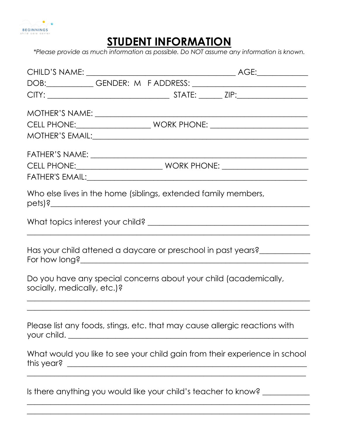

## **STUDENT INFORMATION**

*\*Please provide as much information as possible. Do NOT assume any information is known.*

| MOTHER'S NAME:                                                                                                    |                                                             |
|-------------------------------------------------------------------------------------------------------------------|-------------------------------------------------------------|
|                                                                                                                   |                                                             |
|                                                                                                                   |                                                             |
|                                                                                                                   |                                                             |
|                                                                                                                   |                                                             |
|                                                                                                                   |                                                             |
| Who else lives in the home (siblings, extended family members,                                                    |                                                             |
|                                                                                                                   |                                                             |
| Has your child attened a daycare or preschool in past years?                                                      |                                                             |
| Do you have any special concerns about your child (academically,<br>socially, medically, etc.)?                   | <u> 1989 - Johann Stoff, amerikansk politiker (d. 1989)</u> |
| Please list any foods, stings, etc. that may cause allergic reactions with                                        |                                                             |
| What would you like to see your child gain from their experience in school<br>this year? $\overline{\phantom{a}}$ |                                                             |
| Is there anything you would like your child's teacher to know?                                                    |                                                             |

 $\_$  , and the set of the set of the set of the set of the set of the set of the set of the set of the set of the set of the set of the set of the set of the set of the set of the set of the set of the set of the set of th  $\_$  , and the set of the set of the set of the set of the set of the set of the set of the set of the set of the set of the set of the set of the set of the set of the set of the set of the set of the set of the set of th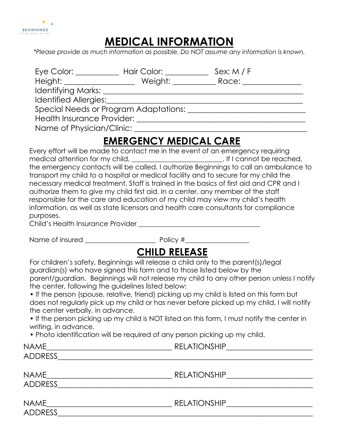

## **MEDICAL INFORMATION**

*\*Please provide as much information as possible. Do NOT assume any information is known.*

|                                                                                                                                                                                                                                                                                                                             | Hair Color: The Marine State of the Marine State of the Marine State of the Marine State of the Marine State S | Sex: $M / F$ |  |
|-----------------------------------------------------------------------------------------------------------------------------------------------------------------------------------------------------------------------------------------------------------------------------------------------------------------------------|----------------------------------------------------------------------------------------------------------------|--------------|--|
| $Height:$ $\frac{1}{2}$ $\frac{1}{2}$ $\frac{1}{2}$ $\frac{1}{2}$ $\frac{1}{2}$ $\frac{1}{2}$ $\frac{1}{2}$ $\frac{1}{2}$ $\frac{1}{2}$ $\frac{1}{2}$ $\frac{1}{2}$ $\frac{1}{2}$ $\frac{1}{2}$ $\frac{1}{2}$ $\frac{1}{2}$ $\frac{1}{2}$ $\frac{1}{2}$ $\frac{1}{2}$ $\frac{1}{2}$ $\frac{1}{2}$ $\frac{1}{2}$ $\frac{1}{$ | Weight: <b>Weight</b>                                                                                          | Race: Race   |  |
|                                                                                                                                                                                                                                                                                                                             |                                                                                                                |              |  |
| Identified Allergies:                                                                                                                                                                                                                                                                                                       |                                                                                                                |              |  |
| Special Needs or Program Adaptations:                                                                                                                                                                                                                                                                                       |                                                                                                                |              |  |
| Health Insurance Provider:                                                                                                                                                                                                                                                                                                  |                                                                                                                |              |  |
| Name of Physician/Clinic:                                                                                                                                                                                                                                                                                                   |                                                                                                                |              |  |

## **EMERGENCY MEDICAL CARE**

| purposes.                                                | Every effort will be made to contact me in the event of an emergency requiring<br>transport my child to a hospital or medical facility and to secure for my child the<br>necessary medical treatment. Staff is trained in the basics of first aid and CPR and I<br>authorize them to give my child first aid. In a center, any member of the staff<br>responsible for the care and education of my child may view my child's health<br>information, as well as state licensors and health care consultants for compliance                                                                                                                                                                                      |
|----------------------------------------------------------|----------------------------------------------------------------------------------------------------------------------------------------------------------------------------------------------------------------------------------------------------------------------------------------------------------------------------------------------------------------------------------------------------------------------------------------------------------------------------------------------------------------------------------------------------------------------------------------------------------------------------------------------------------------------------------------------------------------|
|                                                          |                                                                                                                                                                                                                                                                                                                                                                                                                                                                                                                                                                                                                                                                                                                |
| the center verbally, in advance.<br>writing, in advance. | <b>CHILD RELEASE</b><br>For children's safety, Beginnings will release a child only to the parent(s)/legal<br>guardian(s) who have signed this form and to those listed below by the<br>parent/guardian. Beginnings will not release my child to any other person unless I notify<br>the center, following the guidelines listed below:<br>• If the person (spouse, relative, friend) picking up my child is listed on this form but<br>does not regularly pick up my child or has never before picked up my child, I will notify<br>. If the person picking up my child is NOT listed on this form, I must notify the center in<br>. Photo identification will be required of any person picking up my child. |
| <b>NAME</b>                                              |                                                                                                                                                                                                                                                                                                                                                                                                                                                                                                                                                                                                                                                                                                                |
|                                                          |                                                                                                                                                                                                                                                                                                                                                                                                                                                                                                                                                                                                                                                                                                                |
|                                                          |                                                                                                                                                                                                                                                                                                                                                                                                                                                                                                                                                                                                                                                                                                                |
| <b>NAME</b>                                              |                                                                                                                                                                                                                                                                                                                                                                                                                                                                                                                                                                                                                                                                                                                |

ADDRESS\_\_\_\_\_\_\_\_\_\_\_\_\_\_\_\_\_\_\_\_\_\_\_\_\_\_\_\_\_\_\_\_\_\_\_\_\_\_\_\_\_\_\_\_\_\_\_\_\_\_\_\_\_\_\_\_\_\_\_\_\_\_\_\_\_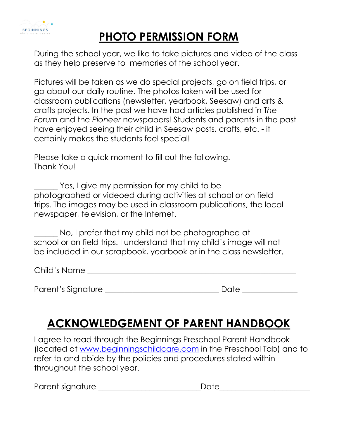

## **PHOTO PERMISSION FORM**

During the school year, we like to take pictures and video of the class as they help preserve to memories of the school year.

Pictures will be taken as we do special projects, go on field trips, or go about our daily routine. The photos taken will be used for classroom publications (newsletter, yearbook, Seesaw) and arts & crafts projects. In the past we have had articles published in T*he Forum* and the *Pioneer* newspapers! Students and parents in the past have enjoyed seeing their child in Seesaw posts, crafts, etc. - it certainly makes the students feel special!

Please take a quick moment to fill out the following. Thank You!

Yes, I give my permission for my child to be photographed or videoed during activities at school or on field trips. The images may be used in classroom publications, the local newspaper, television, or the Internet.

\_\_\_\_\_\_ No, I prefer that my child not be photographed at school or on field trips. I understand that my child's image will not be included in our scrapbook, yearbook or in the class newsletter.

Child's Name \_\_\_\_\_\_\_\_\_\_\_\_\_\_\_\_\_\_\_\_\_\_\_\_\_\_\_\_\_\_\_\_\_\_\_\_\_\_\_\_\_\_\_\_\_\_\_\_\_\_\_\_\_

 $\Box$  Signature  $\Box$   $\Box$  Date  $\Box$   $\Box$   $\Box$ 

# **ACKNOWLEDGEMENT OF PARENT HANDBOOK**

I agree to read through the Beginnings Preschool Parent Handbook (located at www.beginningschildcare.com in the Preschool Tab) and to refer to and abide by the policies and procedures stated within throughout the school year.

| Parent signature |
|------------------|
|------------------|

 ${\sf Date}$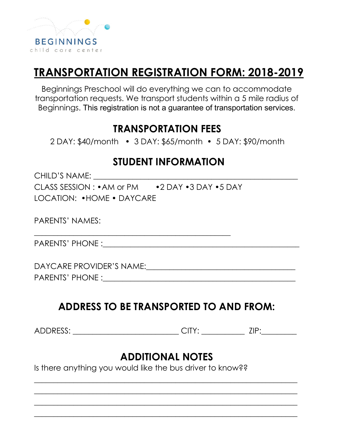

## **TRANSPORTATION REGISTRATION FORM: 2018-2019**

Beginnings Preschool will do everything we can to accommodate transportation requests. We transport students within a 5 mile radius of Beginnings. This registration is not a guarantee of transportation services.

### **TRANSPORTATION FEES**

2 DAY: \$40/month • 3 DAY: \$65/month • 5 DAY: \$90/month

## **STUDENT INFORMATION**

 $\overline{\phantom{a}}$  , and the set of the set of the set of the set of the set of the set of the set of the set of the set of the set of the set of the set of the set of the set of the set of the set of the set of the set of the s

CHILD'S NAME: \_\_\_\_\_\_\_\_\_\_\_\_\_\_\_\_\_\_\_\_\_\_\_\_\_\_\_\_\_\_\_\_\_\_\_\_\_\_\_\_\_\_\_\_\_\_\_\_\_\_\_\_ CLASS SESSION : •AM or PM •2 DAY •3 DAY •5 DAY LOCATION: •HOME • DAYCARE

PARENTS' NAMES:

PARENTS' PHONE :\_\_\_\_\_\_\_\_\_\_\_\_\_\_\_\_\_\_\_\_\_\_\_\_\_\_\_\_\_\_\_\_\_\_\_\_\_\_\_\_\_\_\_\_\_\_\_\_\_\_

DAYCARE PROVIDER'S NAME:\_\_\_\_\_\_\_\_\_\_\_\_\_\_\_\_\_\_\_\_\_\_\_\_\_\_\_\_\_\_\_\_\_\_\_\_\_\_ PARENTS' PHONE :\_\_\_\_\_\_\_\_\_\_\_\_\_\_\_\_\_\_\_\_\_\_\_\_\_\_\_\_\_\_\_\_\_\_\_\_\_\_\_\_\_\_\_\_\_\_\_\_\_

## **ADDRESS TO BE TRANSPORTED TO AND FROM:**

ADDRESS: \_\_\_\_\_\_\_\_\_\_\_\_\_\_\_\_\_\_\_\_\_\_\_\_\_\_\_ CITY: \_\_\_\_\_\_\_\_\_\_\_ ZIP:\_\_\_\_\_\_\_\_\_

## **ADDITIONAL NOTES**

\_\_\_\_\_\_\_\_\_\_\_\_\_\_\_\_\_\_\_\_\_\_\_\_\_\_\_\_\_\_\_\_\_\_\_\_\_\_\_\_\_\_\_\_\_\_\_\_\_\_\_\_\_\_\_\_\_\_\_\_\_\_\_\_\_\_\_

 $\_$  , and the set of the set of the set of the set of the set of the set of the set of the set of the set of the set of the set of the set of the set of the set of the set of the set of the set of the set of the set of th

\_\_\_\_\_\_\_\_\_\_\_\_\_\_\_\_\_\_\_\_\_\_\_\_\_\_\_\_\_\_\_\_\_\_\_\_\_\_\_\_\_\_\_\_\_\_\_\_\_\_\_\_\_\_\_\_\_\_\_\_\_\_\_\_\_\_\_

\_\_\_\_\_\_\_\_\_\_\_\_\_\_\_\_\_\_\_\_\_\_\_\_\_\_\_\_\_\_\_\_\_\_\_\_\_\_\_\_\_\_\_\_\_\_\_\_\_\_\_\_\_\_\_\_\_\_\_\_\_\_\_\_\_\_\_

Is there anything you would like the bus driver to know??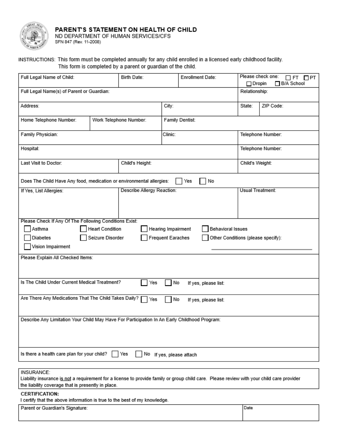

#### PARENT'S STATEMENT ON HEALTH OF CHILD ND DEPARTMENT OF HUMAN SERVICES/CFS SFN 847 (Rev. 11-2008)

#### INSTRUCTIONS: This form must be completed annually for any child enrolled in a licensed early childhood facility. This form is completed by a parent or guardian of the child.

| Full Legal Name of Child:                                                                                                                               |                        | Birth Date:                |                          | Enrollment Date:         | $\Box$ Dropin                      | Please check one:<br>$\Box$ FT $\Box$ PT<br>□ B/A School |  |
|---------------------------------------------------------------------------------------------------------------------------------------------------------|------------------------|----------------------------|--------------------------|--------------------------|------------------------------------|----------------------------------------------------------|--|
| Full Legal Name(s) of Parent or Guardian:                                                                                                               |                        |                            |                          |                          | Relationship:                      |                                                          |  |
| Address:                                                                                                                                                |                        |                            | City:                    |                          | State:                             | ZIP Code:                                                |  |
| Home Telephone Number:                                                                                                                                  |                        | Work Telephone Number:     |                          | Family Dentist:          |                                    |                                                          |  |
| Family Physician:                                                                                                                                       |                        |                            |                          | Clinic:                  |                                    | Telephone Number:                                        |  |
| Hospital:                                                                                                                                               |                        |                            |                          | Telephone Number:        |                                    |                                                          |  |
| Last Visit to Doctor:                                                                                                                                   |                        | Child's Height:            |                          |                          |                                    | Child's Weight:                                          |  |
| Does The Child Have Any food, medication or environmental allergies:                                                                                    |                        |                            |                          | Yes<br>No                |                                    |                                                          |  |
| If Yes, List Allergies:                                                                                                                                 |                        | Describe Allergy Reaction: |                          |                          |                                    | Usual Treatment:                                         |  |
|                                                                                                                                                         |                        |                            |                          |                          |                                    |                                                          |  |
| Please Check If Any Of The Following Conditions Exist:                                                                                                  |                        |                            |                          |                          |                                    |                                                          |  |
| Asthma                                                                                                                                                  | <b>Heart Condition</b> |                            | Hearing Impairment       |                          | <b>Behavioral Issues</b>           |                                                          |  |
| Diabetes<br>Vision Impairment                                                                                                                           | Seizure Disorder       |                            | <b>Frequent Earaches</b> |                          | Other Conditions (please specify): |                                                          |  |
| Please Explain All Checked Items:                                                                                                                       |                        |                            |                          |                          |                                    |                                                          |  |
|                                                                                                                                                         |                        |                            |                          |                          |                                    |                                                          |  |
| Is The Child Under Current Medical Treatment?                                                                                                           |                        | Yes                        | No                       | If yes, please list:     |                                    |                                                          |  |
| Are There Any Medications That The Child Takes Daily?                                                                                                   |                        | Yes                        | No                       | If yes, please list:     |                                    |                                                          |  |
| Describe Any Limitation Your Child May Have For Participation In An Early Childhood Program:                                                            |                        |                            |                          |                          |                                    |                                                          |  |
|                                                                                                                                                         |                        |                            |                          |                          |                                    |                                                          |  |
|                                                                                                                                                         |                        |                            |                          |                          |                                    |                                                          |  |
| Is there a health care plan for your child?                                                                                                             |                        | Yes                        |                          | No If yes, please attach |                                    |                                                          |  |
|                                                                                                                                                         |                        |                            |                          |                          |                                    |                                                          |  |
| INSURANCE:<br>Liability insurance is not a requirement for a license to provide family or group child care. Please review with your child care provider |                        |                            |                          |                          |                                    |                                                          |  |

the liability coverage that is presently in place.

#### **CERTIFICATION:**

I certify that the above information is true to the best of my knowledge.

Parent or Guardian's Signature: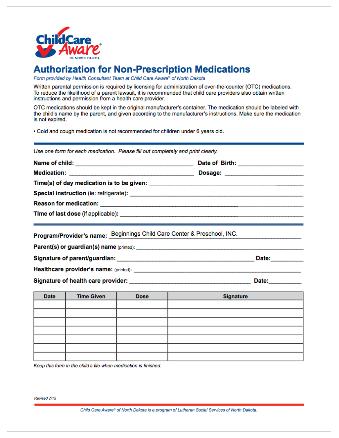

### **Authorization for Non-Prescription Medications**

Form provided by Health Consultant Team at Child Care Aware® of North Dakota

Written parental permission is required by licensing for administration of over-the-counter (OTC) medications. To reduce the likelihood of a parent lawsuit, it is recommended that child care providers also obtain written instructions and permission from a health care provider.

OTC medications should be kept in the original manufacturer's container. The medication should be labeled with the child's name by the parent, and given according to the manufacturer's instructions. Make sure the medication is not expired.

. Cold and cough medication is not recommended for children under 6 years old.

Use one form for each medication. Please fill out completely and print clearly.

|             |                   |             | Program/Provider's name: Beginnings Child Care Center & Preschool, INC. |
|-------------|-------------------|-------------|-------------------------------------------------------------------------|
|             |                   |             |                                                                         |
|             |                   |             | Date: <b>Date:</b>                                                      |
|             |                   |             |                                                                         |
|             |                   |             | Date: 2004                                                              |
| <b>Date</b> | <b>Time Given</b> | <b>Dose</b> | <b>Signature</b>                                                        |
|             |                   |             |                                                                         |
|             |                   |             |                                                                         |
|             |                   |             |                                                                         |
|             |                   |             |                                                                         |
|             |                   |             |                                                                         |
|             |                   |             |                                                                         |

Keep this form in the child's file when medication is finished.